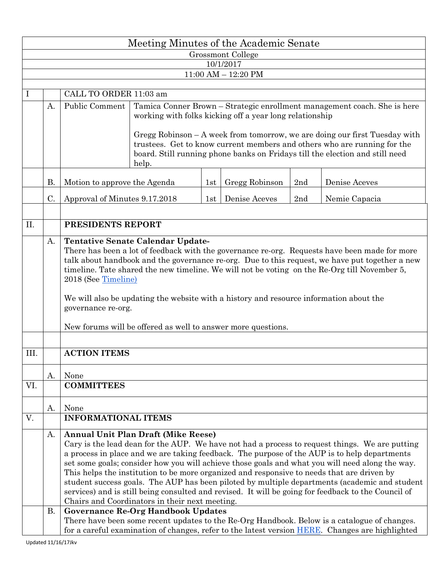|                                      | Meeting Minutes of the Academic Senate |                                                                                                                                                                                                                                                                                                                                                                                                                                                                                                                                                                                                                                                                                                         |                                                                                                                                                                                                                                                                                               |     |                |     |               |  |  |  |  |  |  |
|--------------------------------------|----------------------------------------|---------------------------------------------------------------------------------------------------------------------------------------------------------------------------------------------------------------------------------------------------------------------------------------------------------------------------------------------------------------------------------------------------------------------------------------------------------------------------------------------------------------------------------------------------------------------------------------------------------------------------------------------------------------------------------------------------------|-----------------------------------------------------------------------------------------------------------------------------------------------------------------------------------------------------------------------------------------------------------------------------------------------|-----|----------------|-----|---------------|--|--|--|--|--|--|
| Grossmont College                    |                                        |                                                                                                                                                                                                                                                                                                                                                                                                                                                                                                                                                                                                                                                                                                         |                                                                                                                                                                                                                                                                                               |     |                |     |               |  |  |  |  |  |  |
| 10/1/2017<br>$11:00$ AM $- 12:20$ PM |                                        |                                                                                                                                                                                                                                                                                                                                                                                                                                                                                                                                                                                                                                                                                                         |                                                                                                                                                                                                                                                                                               |     |                |     |               |  |  |  |  |  |  |
|                                      |                                        |                                                                                                                                                                                                                                                                                                                                                                                                                                                                                                                                                                                                                                                                                                         |                                                                                                                                                                                                                                                                                               |     |                |     |               |  |  |  |  |  |  |
|                                      |                                        | CALL TO ORDER 11:03 am                                                                                                                                                                                                                                                                                                                                                                                                                                                                                                                                                                                                                                                                                  |                                                                                                                                                                                                                                                                                               |     |                |     |               |  |  |  |  |  |  |
|                                      | A.                                     | Public Comment                                                                                                                                                                                                                                                                                                                                                                                                                                                                                                                                                                                                                                                                                          | Tamica Conner Brown – Strategic enrollment management coach. She is here<br>working with folks kicking off a year long relationship<br>Gregg Robinson - A week from tomorrow, we are doing our first Tuesday with<br>trustees. Get to know current members and others who are running for the |     |                |     |               |  |  |  |  |  |  |
|                                      |                                        |                                                                                                                                                                                                                                                                                                                                                                                                                                                                                                                                                                                                                                                                                                         | board. Still running phone banks on Fridays till the election and still need<br>help.                                                                                                                                                                                                         |     |                |     |               |  |  |  |  |  |  |
|                                      |                                        |                                                                                                                                                                                                                                                                                                                                                                                                                                                                                                                                                                                                                                                                                                         |                                                                                                                                                                                                                                                                                               |     |                |     |               |  |  |  |  |  |  |
|                                      | <b>B.</b>                              | Motion to approve the Agenda                                                                                                                                                                                                                                                                                                                                                                                                                                                                                                                                                                                                                                                                            |                                                                                                                                                                                                                                                                                               | 1st | Gregg Robinson | 2nd | Denise Aceves |  |  |  |  |  |  |
|                                      | C.                                     | Approval of Minutes 9.17.2018                                                                                                                                                                                                                                                                                                                                                                                                                                                                                                                                                                                                                                                                           |                                                                                                                                                                                                                                                                                               |     | Denise Aceves  | 2nd | Nemie Capacia |  |  |  |  |  |  |
| II.                                  |                                        | PRESIDENTS REPORT                                                                                                                                                                                                                                                                                                                                                                                                                                                                                                                                                                                                                                                                                       |                                                                                                                                                                                                                                                                                               |     |                |     |               |  |  |  |  |  |  |
|                                      | A.                                     | <b>Tentative Senate Calendar Update-</b><br>There has been a lot of feedback with the governance re-org. Requests have been made for more<br>talk about handbook and the governance re-org. Due to this request, we have put together a new<br>timeline. Tate shared the new timeline. We will not be voting on the Re-Org till November 5,<br>2018 (See Timeline)<br>We will also be updating the website with a history and resource information about the<br>governance re-org.<br>New forums will be offered as well to answer more questions.                                                                                                                                                      |                                                                                                                                                                                                                                                                                               |     |                |     |               |  |  |  |  |  |  |
| III.                                 |                                        | <b>ACTION ITEMS</b>                                                                                                                                                                                                                                                                                                                                                                                                                                                                                                                                                                                                                                                                                     |                                                                                                                                                                                                                                                                                               |     |                |     |               |  |  |  |  |  |  |
|                                      | А.                                     | None                                                                                                                                                                                                                                                                                                                                                                                                                                                                                                                                                                                                                                                                                                    |                                                                                                                                                                                                                                                                                               |     |                |     |               |  |  |  |  |  |  |
| VI.                                  |                                        | <b>COMMITTEES</b>                                                                                                                                                                                                                                                                                                                                                                                                                                                                                                                                                                                                                                                                                       |                                                                                                                                                                                                                                                                                               |     |                |     |               |  |  |  |  |  |  |
|                                      | A.                                     | None                                                                                                                                                                                                                                                                                                                                                                                                                                                                                                                                                                                                                                                                                                    |                                                                                                                                                                                                                                                                                               |     |                |     |               |  |  |  |  |  |  |
| V.                                   |                                        | <b>INFORMATIONAL ITEMS</b>                                                                                                                                                                                                                                                                                                                                                                                                                                                                                                                                                                                                                                                                              |                                                                                                                                                                                                                                                                                               |     |                |     |               |  |  |  |  |  |  |
|                                      | A.                                     | <b>Annual Unit Plan Draft (Mike Reese)</b><br>Cary is the lead dean for the AUP. We have not had a process to request things. We are putting<br>a process in place and we are taking feedback. The purpose of the AUP is to help departments<br>set some goals; consider how you will achieve those goals and what you will need along the way.<br>This helps the institution to be more organized and responsive to needs that are driven by<br>student success goals. The AUP has been piloted by multiple departments (academic and student<br>services) and is still being consulted and revised. It will be going for feedback to the Council of<br>Chairs and Coordinators in their next meeting. |                                                                                                                                                                                                                                                                                               |     |                |     |               |  |  |  |  |  |  |
|                                      | <b>B.</b>                              | <b>Governance Re-Org Handbook Updates</b><br>There have been some recent updates to the Re-Org Handbook. Below is a catalogue of changes.<br>for a careful examination of changes, refer to the latest version HERE. Changes are highlighted                                                                                                                                                                                                                                                                                                                                                                                                                                                            |                                                                                                                                                                                                                                                                                               |     |                |     |               |  |  |  |  |  |  |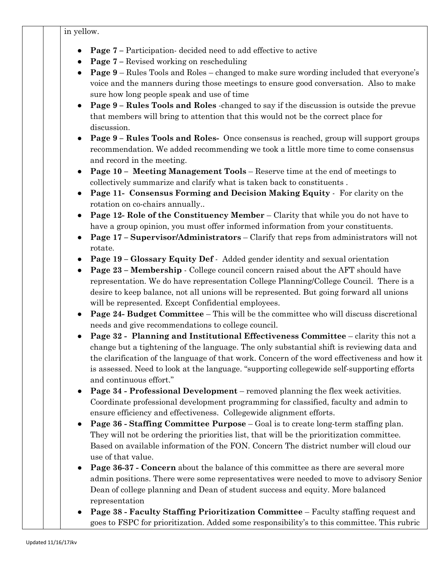in yellow.

- **Page 7 –** Participation- decided need to add effective to active
- **Page 7** Revised working on rescheduling
- **Page 9** Rules Tools and Roles changed to make sure wording included that everyone's voice and the manners during those meetings to ensure good conversation. Also to make sure how long people speak and use of time
- **Page 9 – Rules Tools and Roles** -changed to say if the discussion is outside the prevue that members will bring to attention that this would not be the correct place for discussion.
- **Page 9 – Rules Tools and Roles-** Once consensus is reached, group will support groups recommendation. We added recommending we took a little more time to come consensus and record in the meeting.
- **Page 10 Meeting Management Tools** Reserve time at the end of meetings to collectively summarize and clarify what is taken back to constituents .
- **Page 11- Consensus Forming and Decision Making Equity** For clarity on the rotation on co-chairs annually..
- **Page 12- Role of the Constituency Member** Clarity that while you do not have to have a group opinion, you must offer informed information from your constituents.
- **Page 17 – Supervisor/Administrators** Clarify that reps from administrators will not rotate.
- **Page 19 – Glossary Equity Def** Added gender identity and sexual orientation
- **Page 23 – Membership** College council concern raised about the AFT should have representation. We do have representation College Planning/College Council. There is a desire to keep balance, not all unions will be represented. But going forward all unions will be represented. Except Confidential employees.
- **Page 24- Budget Committee** This will be the committee who will discuss discretional needs and give recommendations to college council.
- **Page 32 Planning and Institutional Effectiveness Committee** clarity this not a change but a tightening of the language. The only substantial shift is reviewing data and the clarification of the language of that work. Concern of the word effectiveness and how it is assessed. Need to look at the language. "supporting collegewide self-supporting efforts and continuous effort."
- **Page 34 - Professional Development** removed planning the flex week activities. Coordinate professional development programming for classified, faculty and admin to ensure efficiency and effectiveness. Collegewide alignment efforts.
- **Page 36 - Staffing Committee Purpose** Goal is to create long-term staffing plan. They will not be ordering the priorities list, that will be the prioritization committee. Based on available information of the FON. Concern The district number will cloud our use of that value.
- **Page 36-37 - Concern** about the balance of this committee as there are several more admin positions. There were some representatives were needed to move to advisory Senior Dean of college planning and Dean of student success and equity. More balanced representation
- **Page 38 - Faculty Staffing Prioritization Committee** Faculty staffing request and goes to FSPC for prioritization. Added some responsibility's to this committee. This rubric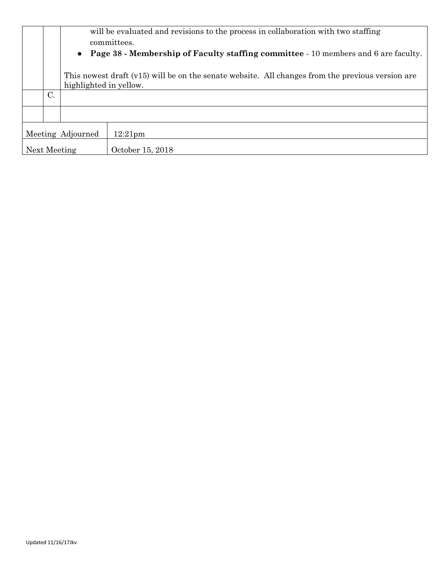|                   |                 | will be evaluated and revisions to the process in collaboration with two staffing                      |                  |  |  |  |  |  |  |  |
|-------------------|-----------------|--------------------------------------------------------------------------------------------------------|------------------|--|--|--|--|--|--|--|
|                   |                 | committees.                                                                                            |                  |  |  |  |  |  |  |  |
|                   |                 | <b>Page 38 - Membership of Faculty staffing committee - 10 members and 6 are faculty.</b><br>$\bullet$ |                  |  |  |  |  |  |  |  |
|                   |                 |                                                                                                        |                  |  |  |  |  |  |  |  |
|                   |                 | This newest draft (v15) will be on the senate website. All changes from the previous version are       |                  |  |  |  |  |  |  |  |
|                   |                 | highlighted in yellow.                                                                                 |                  |  |  |  |  |  |  |  |
|                   | $\mathcal{C}$ . |                                                                                                        |                  |  |  |  |  |  |  |  |
|                   |                 |                                                                                                        |                  |  |  |  |  |  |  |  |
| Meeting Adjourned |                 |                                                                                                        | $12:21$ pm       |  |  |  |  |  |  |  |
| Next Meeting      |                 |                                                                                                        | October 15, 2018 |  |  |  |  |  |  |  |